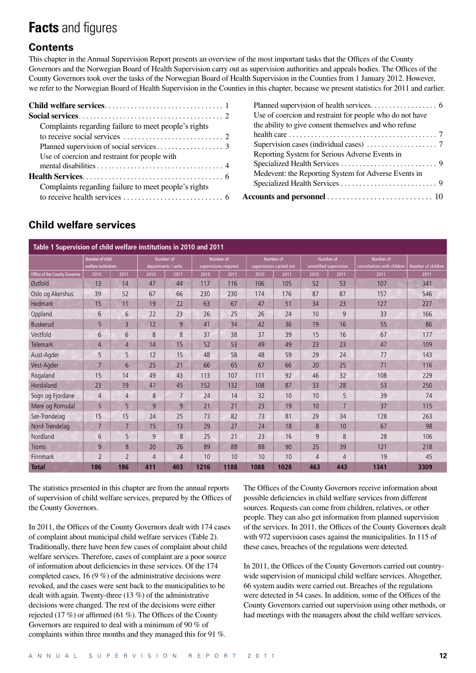# **Facts** and figures

# **Contents**

This chapter in the Annual Supervision Report presents an overview of the most important tasks that the Offices of the County Governors and the Norwegian Board of Health Supervision carry out as supervision authorities and appeals bodies. The Offices of the County Governors took over the tasks of the Norwegian Board of Health Supervision in the Counties from 1 January 2012. However, we refer to the Norwegian Board of Health Supervision in the Counties in this chapter, because we present statistics for 2011 and earlier.

| Complaints regarding failure to meet people's rights |
|------------------------------------------------------|
|                                                      |
|                                                      |
| Use of coercion and restraint for people with        |
|                                                      |
|                                                      |
| Complaints regarding failure to meet people's rights |
|                                                      |

| Use of coercion and restraint for people who do not have |  |
|----------------------------------------------------------|--|
| the ability to give consent themselves and who refuse    |  |
|                                                          |  |
|                                                          |  |
| Reporting System for Serious Adverse Events in           |  |
|                                                          |  |
| Medevent: the Reporting System for Adverse Events in     |  |
|                                                          |  |
|                                                          |  |

## **Child welfare services**

| Table 1 Supervision of child welfare institutions in 2010 and 2011 |                          |                |           |                     |      |                       |      |                          |                 |                        |                             |                    |
|--------------------------------------------------------------------|--------------------------|----------------|-----------|---------------------|------|-----------------------|------|--------------------------|-----------------|------------------------|-----------------------------|--------------------|
|                                                                    | Number of child          |                | Number of |                     |      | Number of             |      | Number of                | Number of       |                        | Number of                   |                    |
|                                                                    | welfare institutions     |                |           | departments / units |      | supervisions required |      | supervisions carried out |                 | unnotified supervision | consultations with children | Number of children |
| Office of the County Governor                                      | 2010                     | 2011           | 2010      | 2011                | 2010 | 2011                  | 2010 | 2011                     | 2010            | 2011                   | 2011                        | 2011               |
| Østfold                                                            | 13                       | 14             | 47        | 44                  | 117  | 116                   | 106  | 105                      | 52              | 53                     | 107                         | 341                |
| Oslo og Akershus                                                   | 39                       | 52             | 67        | 66                  | 230  | 230                   | 174  | 176                      | 87              | 87                     | 157                         | 546                |
| <b>Hedmark</b>                                                     | 15                       | 11             | 19        | 22                  | 63   | 67                    | 47   | 51                       | 34              | 23                     | 127                         | 227                |
| Oppland                                                            | 6                        | 6              | 22        | 23                  | 26   | 25                    | 26   | 24                       | 10              | 9                      | 33                          | 166                |
| <b>Buskerud</b>                                                    | 5                        | $\overline{3}$ | 12        | 9                   | 41   | 34                    | 42   | 36                       | 19              | 16                     | 55                          | 86                 |
| Vestfold                                                           | 6                        | 6              | 8         | 8                   | 37   | 38                    | 37   | 39                       | 15              | 16                     | 67                          | 177                |
| <b>Telemark</b>                                                    | $\overline{4}$           | $\overline{4}$ | 14        | 15                  | 52   | 53                    | 49   | 49                       | 23              | 23                     | 47                          | 109                |
| Aust-Agder                                                         | 5                        | 5              | 12        | 15                  | 48   | 58                    | 48   | 59                       | 29              | 24                     | 77                          | 143                |
| Vest-Agder                                                         | 7                        | 6              | 25        | 21                  | 66   | 65                    | 67   | 66                       | 20              | 25                     | 71                          | 116                |
| Rogaland                                                           | 15                       | 14             | 49        | 43                  | 113  | 107                   | 111  | 92                       | 46              | 32                     | 108                         | 229                |
| Hordaland                                                          | 23                       | 19             | 47        | 45                  | 152  | 132                   | 108  | 87                       | 33              | 28                     | 53                          | 250                |
| Sogn og Fjordane                                                   | $\overline{4}$           | $\overline{4}$ | 8         | $\overline{7}$      | 24   | 14                    | 32   | 10                       | 10              | 5                      | 39                          | 74                 |
| Møre og Romsdal                                                    | 5                        | 5              | 9         | 9                   | 21   | 21                    | 23   | 19                       | 10 <sup>1</sup> | $\overline{7}$         | 37                          | 115                |
| Sør-Trøndelag                                                      | 15                       | 15             | 24        | 25                  | 73   | 82                    | 73   | 81                       | 29              | 34                     | 128                         | 263                |
| Nord-Trøndelag                                                     | 7                        | 7              | 15        | 13                  | 29   | 27                    | 24   | 18                       | 8               | 10                     | 67                          | 98                 |
| Nordland                                                           | 6                        | 5              | 9         | 8                   | 25   | 21                    | 23   | 16                       | 9               | 8                      | 28                          | 106                |
| <b>Troms</b>                                                       | 9                        | 8              | 20        | 26                  | 89   | 88                    | 88   | 90                       | 25              | 39                     | 121                         | 218                |
| <b>Finnmark</b>                                                    | $\overline{\phantom{a}}$ | $\overline{2}$ | 4         | $\overline{4}$      | 10   | 10                    | 10   | 10                       | 4               | 4                      | 19                          | 45                 |
| <b>Total</b>                                                       | 186                      | 186            | 411       | 403                 | 1216 | 1188                  | 1088 | 1028                     | 463             | 443                    | 1341                        | 3309               |

The statistics presented in this chapter are from the annual reports of supervision of child welfare services, prepared by the Offices of the County Governors.

In 2011, the Offices of the County Governors dealt with 174 cases of complaint about municipal child welfare services (Table 2). Traditionally, there have been few cases of complaint about child welfare services. Therefore, cases of complaint are a poor source of information about deficiencies in these services. Of the 174 completed cases, 16 (9 %) of the administrative decisions were revoked, and the cases were sent back to the municipalities to be dealt with again. Twenty-three (13 %) of the administrative decisions were changed. The rest of the decisions were either rejected (17 %) or affirmed (61 %). The Offices of the County Governors are required to deal with a minimum of 90 % of complaints within three months and they managed this for 91 %.

The Offices of the County Governors receive information about possible deficiencies in child welfare services from different sources. Requests can come from children, relatives, or other people. They can also get information from planned supervision of the services. In 2011, the Offices of the County Governors dealt with 972 supervision cases against the municipalities. In 115 of these cases, breaches of the regulations were detected.

In 2011, the Offices of the County Governors carried out countrywide supervision of municipal child welfare services. Altogether, 66 system audits were carried out. Breaches of the regulations were detected in 54 cases. In addition, some of the Offices of the County Governors carried out supervision using other methods, or had meetings with the managers about the child welfare services.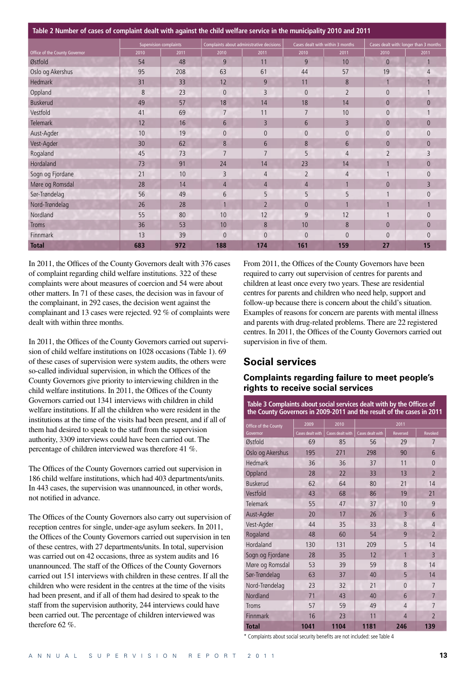**Table 2 Number of cases of complaint dealt with against the child welfare service in the municipality 2010 and 2011**

|                               |      | <b>Supervision complaints</b> | Complaints about administrative decisions |                 | Cases dealt with within 3 months |                |                | Cases dealt with: longer than 3 months |
|-------------------------------|------|-------------------------------|-------------------------------------------|-----------------|----------------------------------|----------------|----------------|----------------------------------------|
| Office of the County Governor | 2010 | 2011                          | 2010                                      | 2011            | 2010                             | 2011           | 2010           | 2011                                   |
| Østfold                       | 54   | 48                            | 9                                         | 11              | 9                                | 10             | $\overline{0}$ |                                        |
| Oslo og Akershus              | 95   | 208                           | 63                                        | 61              | 44                               | 57             | 19             | $\overline{4}$                         |
| Hedmark                       | 31   | 33                            | 12                                        | 9               | 11                               | 8              | $\overline{1}$ |                                        |
| Oppland                       | 8    | 23                            | $\overline{0}$                            | 3               | $\Omega$                         | $\overline{2}$ | $\theta$       |                                        |
| <b>Buskerud</b>               | 49   | 57                            | 18                                        | 14              | 18                               | 14             | $\overline{0}$ | $\overline{0}$                         |
| Vestfold                      | 41   | 69                            | $\overline{7}$                            | 11              | $\overline{7}$                   | 10             | $\theta$       |                                        |
| <b>Telemark</b>               | 12   | 16                            | 6                                         | $\overline{3}$  | 6                                | 3              | $\theta$       | $\overline{0}$                         |
| Aust-Agder                    | 10   | 19                            | $\theta$                                  | $\theta$        | $\theta$                         | $\overline{0}$ | $\theta$       | $\overline{0}$                         |
| Vest-Agder                    | 30   | 62                            | 8                                         | $6\phantom{1}6$ | 8                                | 6              | $\theta$       | $\theta$                               |
| Rogaland                      | 45   | 73                            | $\overline{7}$                            | $\overline{7}$  | 5                                | $\overline{4}$ | $\overline{2}$ | 3                                      |
| Hordaland                     | 73   | 91                            | 24                                        | 14              | 23                               | 14             |                | $\overline{0}$                         |
| Sogn og Fjordane              | 21   | 10                            | 3                                         | $\overline{4}$  | $\overline{2}$                   | $\overline{4}$ |                | $\overline{0}$                         |
| Møre og Romsdal               | 28   | 14                            | 4                                         | 4               | $\overline{4}$                   |                | $\theta$       | 3                                      |
| Sør-Trøndelag                 | 56   | 49                            | 6                                         | 5               | 5                                | 5              |                | $\overline{0}$                         |
| Nord-Trøndelag                | 26   | 28                            |                                           | $\overline{2}$  | $\theta$                         |                |                |                                        |
| Nordland                      | 55   | 80                            | 10                                        | 12              | 9                                | 12             |                | $\overline{0}$                         |
| <b>Troms</b>                  | 36   | 53                            | 10                                        | 8               | 10                               | 8              | $\theta$       | $\overline{0}$                         |
| Finnmark                      | 13   | 39                            | $\overline{0}$                            | $\overline{0}$  | $\theta$                         | $\overline{0}$ | $\theta$       | $\Omega$                               |
| <b>Total</b>                  | 683  | 972                           | 188                                       | 174             | 161                              | 159            | 27             | 15                                     |

In 2011, the Offices of the County Governors dealt with 376 cases of complaint regarding child welfare institutions. 322 of these complaints were about measures of coercion and 54 were about other matters. In 71 of these cases, the decision was in favour of the complainant, in 292 cases, the decision went against the complainant and 13 cases were rejected. 92 % of complaints were dealt with within three months.

In 2011, the Offices of the County Governors carried out supervision of child welfare institutions on 1028 occasions (Table 1). 69 of these cases of supervision were system audits, the others were so-called individual supervision, in which the Offices of the County Governors give priority to interviewing children in the child welfare institutions. In 2011, the Offices of the County Governors carried out 1341 interviews with children in child welfare institutions. If all the children who were resident in the institutions at the time of the visits had been present, and if all of them had desired to speak to the staff from the supervision authority, 3309 interviews could have been carried out. The percentage of children interviewed was therefore 41 %.

The Offices of the County Governors carried out supervision in 186 child welfare institutions, which had 403 departments/units. In 443 cases, the supervision was unannounced, in other words, not notified in advance.

The Offices of the County Governors also carry out supervision of reception centres for single, under-age asylum seekers. In 2011, the Offices of the County Governors carried out supervision in ten of these centres, with 27 departments/units. In total, supervision was carried out on 42 occasions, three as system audits and 16 unannounced. The staff of the Offices of the County Governors carried out 151 interviews with children in these centres. If all the children who were resident in the centres at the time of the visits had been present, and if all of them had desired to speak to the staff from the supervision authority, 244 interviews could have been carried out. The percentage of children interviewed was therefore 62 %.

From 2011, the Offices of the County Governors have been required to carry out supervision of centres for parents and children at least once every two years. These are residential centres for parents and children who need help, support and follow-up because there is concern about the child's situation. Examples of reasons for concern are parents with mental illness and parents with drug-related problems. There are 22 registered centres. In 2011, the Offices of the County Governors carried out supervision in five of them.

## **Social services**

## **Complaints regarding failure to meet people's rights to receive social services**

**Table 3 Complaints about social services dealt with by the Offices of the County Governors in 2009-2011 and the result of the cases in 2011**

| Office of the County | 2009             | 2010             |                  | 2011            |                |
|----------------------|------------------|------------------|------------------|-----------------|----------------|
| Governor             | Cases dealt with | Cases dealt with | Cases dealt with | <b>Reversed</b> | Revoked        |
| Østfold              | 69               | 85               | 56               | 29              | 7              |
| Oslo og Akershus     | 195              | 271              | 298              | 90              | 6              |
| <b>Hedmark</b>       | 36               | 36               | 37               | 11              | $\Omega$       |
| Oppland              | 28               | 22               | 33               | 13              | $\overline{2}$ |
| <b>Buskerud</b>      | 62               | 64               | 80               | 21              | 14             |
| Vestfold             | 43               | 68               | 86               | 19              | 21             |
| <b>Telemark</b>      | 55               | 47               | 37               | 10              | 9              |
| Aust-Agder           | 20               | 17               | 26               | 3               | 6              |
| Vest-Agder           | 44               | 35               | 33               | 8               | $\overline{4}$ |
| Rogaland             | 48               | 60               | 54               | 9               | $\overline{2}$ |
| Hordaland            | 130              | 131              | 209              | 5               | 14             |
| Sogn og Fjordane     | 28               | 35               | 12               | 1               | 3              |
| Møre og Romsdal      | 53               | 39               | 59               | 8               | 14             |
| Sør-Trøndelag        | 63               | 37               | 40               | 5               | 14             |
| Nord-Trøndelag       | 23               | 32               | 21               | $\overline{0}$  | $\overline{7}$ |
| Nordland             | 71               | 43               | 40               | 6               | 7              |
| <b>Troms</b>         | 57               | 59               | 49               | 4               | 7              |
| <b>Finnmark</b>      | 16               | 23               | 11               | 4               | $\overline{2}$ |
| Total                | 1041             | 1104             | 1181             | 246             | 139            |

\* Complaints about social security benefits are not included: see Table 4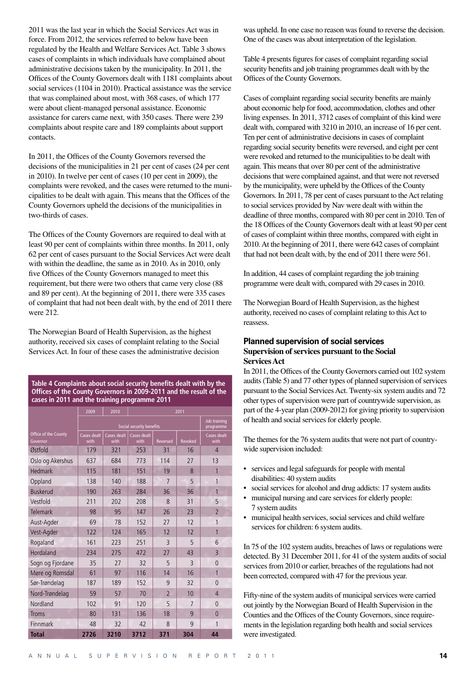2011 was the last year in which the Social Services Act was in force. From 2012, the services referred to below have been regulated by the Health and Welfare Services Act. Table 3 shows cases of complaints in which individuals have complained about administrative decisions taken by the municipality. In 2011, the Offices of the County Governors dealt with 1181 complaints about social services (1104 in 2010). Practical assistance was the service that was complained about most, with 368 cases, of which 177 were about client-managed personal assistance. Economic assistance for carers came next, with 350 cases. There were 239 complaints about respite care and 189 complaints about support contacts.

In 2011, the Offices of the County Governors reversed the decisions of the municipalities in 21 per cent of cases (24 per cent in 2010). In twelve per cent of cases (10 per cent in 2009), the complaints were revoked, and the cases were returned to the municipalities to be dealt with again. This means that the Offices of the County Governors upheld the decisions of the municipalities in two-thirds of cases.

The Offices of the County Governors are required to deal with at least 90 per cent of complaints within three months. In 2011, only 62 per cent of cases pursuant to the Social Services Act were dealt with within the deadline, the same as in 2010. As in 2010, only five Offices of the County Governors managed to meet this requirement, but there were two others that came very close (88 and 89 per cent). At the beginning of 2011, there were 335 cases of complaint that had not been dealt with, by the end of 2011 there were 212.

The Norwegian Board of Health Supervision, as the highest authority, received six cases of complaint relating to the Social Services Act. In four of these cases the administrative decision

**Table 4 Complaints about social security benefits dealt with by the Offices of the County Governors in 2009-2011 and the result of the cases in 2011 and the training programme 2011**

|                                  | 2009                | 2010                      | 2011                |                |                |                     |  |
|----------------------------------|---------------------|---------------------------|---------------------|----------------|----------------|---------------------|--|
|                                  |                     | Job training<br>programme |                     |                |                |                     |  |
| Office of the County<br>Governor | Cases dealt<br>with | Cases dealt<br>with       | Cases dealt<br>with | Reversed       | <b>Revoked</b> | Cases dealt<br>with |  |
| Østfold                          | 179                 | 321                       | 253                 | 31             | 16             | 4                   |  |
| Oslo og Akershus                 | 637                 | 684                       | 773                 | 114            | 27             | 13                  |  |
| Hedmark                          | 115                 | 181                       | 151                 | 19             | 8              | 1                   |  |
| Oppland                          | 138                 | 140                       | 188                 | 7              | 5              | 1                   |  |
| <b>Buskerud</b>                  | 190                 | 263                       | 284                 | 36             | 36             | 1                   |  |
| Vestfold                         | 211                 | 202                       | 208                 | 8              | 31             | 5                   |  |
| <b>Telemark</b>                  | 98                  | 95                        | 147                 | 26             | 23             | $\overline{2}$      |  |
| Aust-Agder                       | 69                  | 78                        | 152                 | 27             | 12             | 1                   |  |
| Vest-Agder                       | 122                 | 124                       | 165                 | 12             | 12             | 1                   |  |
| Rogaland                         | 161                 | 223                       | 251                 | $\overline{3}$ | 5              | 6                   |  |
| Hordaland                        | 234                 | 275                       | 472                 | 27             | 43             | 3                   |  |
| Sogn og Fjordane                 | 35                  | 27                        | 32                  | 5              | $\overline{3}$ | $\Omega$            |  |
| Møre og Romsdal                  | 61                  | 97                        | 116                 | 14             | 16             | 1                   |  |
| Sør-Trøndelag                    | 187                 | 189                       | 152                 | 9              | 32             | $\Omega$            |  |
| Nord-Trøndelag                   | 59                  | 57                        | 70                  | $\overline{2}$ | 10             | $\overline{4}$      |  |
| Nordland                         | 102                 | 91                        | 120                 | 5              | $\overline{7}$ | $\Omega$            |  |
| <b>Troms</b>                     | 80                  | 131                       | 136                 | 18             | 9              | $\Omega$            |  |
| Finnmark                         | 48                  | 32                        | 42                  | 8              | 9              | 1                   |  |
| <b>Total</b>                     | 2726                | 3210                      | 3712                | 371            | 304            | 44                  |  |

was upheld. In one case no reason was found to reverse the decision. One of the cases was about interpretation of the legislation.

Table 4 presents figures for cases of complaint regarding social security benefits and job training programmes dealt with by the Offices of the County Governors.

Cases of complaint regarding social security benefits are mainly about economic help for food, accommodation, clothes and other living expenses. In 2011, 3712 cases of complaint of this kind were dealt with, compared with 3210 in 2010, an increase of 16 per cent. Ten per cent of administrative decisions in cases of complaint regarding social security benefits were reversed, and eight per cent were revoked and returned to the municipalities to be dealt with again. This means that over 80 per cent of the administrative decisions that were complained against, and that were not reversed by the municipality, were upheld by the Offices of the County Governors. In 2011, 78 per cent of cases pursuant to the Act relating to social services provided by Nav were dealt with within the deadline of three months, compared with 80 per cent in 2010. Ten of the 18 Offices of the County Governors dealt with at least 90 per cent of cases of complaint within three months, compared with eight in 2010. At the beginning of 2011, there were 642 cases of complaint that had not been dealt with, by the end of 2011 there were 561.

In addition, 44 cases of complaint regarding the job training programme were dealt with, compared with 29 cases in 2010.

The Norwegian Board of Health Supervision, as the highest authority, received no cases of complaint relating to this Act to reassess.

#### **Planned supervision of social services Supervision of services pursuant to the Social Services Act**

In 2011, the Offices of the County Governors carried out 102 system audits (Table 5) and 77 other types of planned supervision of services pursuant to the Social Services Act. Twenty-six system audits and 72 other types of supervision were part of countrywide supervision, as part of the 4-year plan (2009-2012) for giving priority to supervision of health and social services for elderly people.

The themes for the 76 system audits that were not part of countrywide supervision included:

- services and legal safeguards for people with mental disabilities: 40 system audits
- social services for alcohol and drug addicts: 17 system audits
- municipal nursing and care services for elderly people: 7 system audits
- municipal health services, social services and child welfare services for children: 6 system audits.

In 75 of the 102 system audits, breaches of laws or regulations were detected. By 31 December 2011, for 41 of the system audits of social services from 2010 or earlier, breaches of the regulations had not been corrected, compared with 47 for the previous year.

Fifty-nine of the system audits of municipal services were carried out jointly by the Norwegian Board of Health Supervision in the Counties and the Offices of the County Governors, since requirements in the legislation regarding both health and social services were investigated.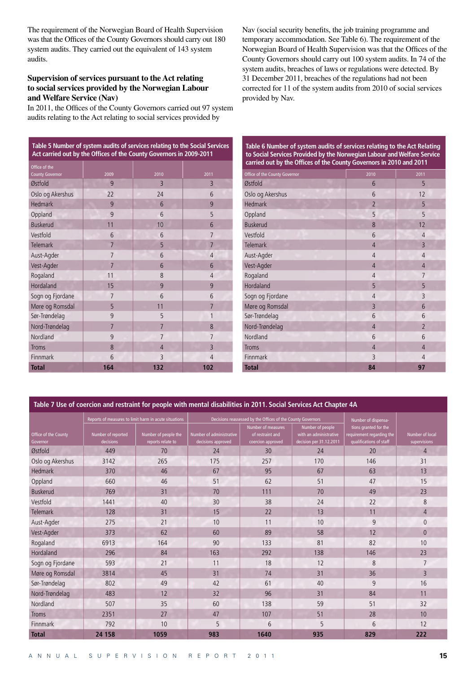The requirement of the Norwegian Board of Health Supervision was that the Offices of the County Governors should carry out 180 system audits. They carried out the equivalent of 143 system audits.

#### **Supervision of services pursuant to the Act relating to social services provided by the Norwegian Labour and Welfare Service (Nav)**

In 2011, the Offices of the County Governors carried out 97 system audits relating to the Act relating to social services provided by

Nav (social security benefits, the job training programme and temporary accommodation. See Table 6). The requirement of the Norwegian Board of Health Supervision was that the Offices of the County Governors should carry out 100 system audits. In 74 of the system audits, breaches of laws or regulations were detected. By 31 December 2011, breaches of the regulations had not been corrected for 11 of the system audits from 2010 of social services provided by Nav.

| Table 5 Number of system audits of services relating to the Social Services<br>Act carried out by the Offices of the County Governors in 2009-2011 |                |                |                |  |  |  |  |
|----------------------------------------------------------------------------------------------------------------------------------------------------|----------------|----------------|----------------|--|--|--|--|
| Office of the                                                                                                                                      |                |                |                |  |  |  |  |
| <b>County Governor</b>                                                                                                                             | 2009           | 2010           | 2011           |  |  |  |  |
| Østfold                                                                                                                                            | 9              | 3              | 3              |  |  |  |  |
| Oslo og Akershus                                                                                                                                   | 22             | 24             | 6              |  |  |  |  |
| <b>Hedmark</b>                                                                                                                                     | 9              | 6              | 9              |  |  |  |  |
| Oppland                                                                                                                                            | 9              | 6              | 5              |  |  |  |  |
| <b>Buskerud</b>                                                                                                                                    | 11             | 10             | 6              |  |  |  |  |
| Vestfold                                                                                                                                           | 6              | 6              | $\overline{7}$ |  |  |  |  |
| <b>Telemark</b>                                                                                                                                    | $\overline{7}$ | 5              | $\overline{7}$ |  |  |  |  |
| Aust-Agder                                                                                                                                         | $\overline{7}$ | 6              | $\overline{4}$ |  |  |  |  |
| Vest-Agder                                                                                                                                         | 7              | 6              | 6              |  |  |  |  |
| Rogaland                                                                                                                                           | 11             | 8              | $\overline{4}$ |  |  |  |  |
| Hordaland                                                                                                                                          | 15             | 9              | 9              |  |  |  |  |
| Sogn og Fjordane                                                                                                                                   | 7              | 6              | 6              |  |  |  |  |
| Møre og Romsdal                                                                                                                                    | 5              | 11             | $\overline{7}$ |  |  |  |  |
| Sør-Trøndelag                                                                                                                                      | 9              | 5              | 1              |  |  |  |  |
| Nord-Trøndelag                                                                                                                                     | 7              | $\overline{7}$ | 8              |  |  |  |  |
| Nordland                                                                                                                                           | 9              | 7              | 7              |  |  |  |  |
| <b>Troms</b>                                                                                                                                       | 8              | $\overline{4}$ | $\overline{3}$ |  |  |  |  |
| <b>Finnmark</b>                                                                                                                                    | 6              | 3              | $\overline{4}$ |  |  |  |  |
| Total                                                                                                                                              | 164            | 132            | 102            |  |  |  |  |

**Table 6 Number of system audits of services relating to the Act Relating to Social Services Provided by the Norwegian Labour and Welfare Service carried out by the Offices of the County Governors in 2010 and 2011**

| Office of the County Governor | 2010           | 2011           |
|-------------------------------|----------------|----------------|
| Østfold                       | 6              | 5              |
| Oslo og Akershus              | 6              | 12             |
| <b>Hedmark</b>                | $\overline{2}$ | 5              |
| Oppland                       | 5              | 5              |
| <b>Buskerud</b>               | 8              | 12             |
| Vestfold                      | 6              | $\overline{4}$ |
| Telemark                      | $\overline{4}$ | $\overline{3}$ |
| Aust-Agder                    | $\overline{4}$ | $\overline{4}$ |
| Vest-Agder                    | $\overline{4}$ | $\overline{4}$ |
| Rogaland                      | $\overline{4}$ | $\overline{7}$ |
| Hordaland                     | 5              | 5              |
| Sogn og Fjordane              | $\overline{4}$ | 3              |
| Møre og Romsdal               | 3              | 6              |
| Sør-Trøndelag                 | 6              | 6              |
| Nord-Trøndelag                | $\overline{4}$ | $\overline{2}$ |
| Nordland                      | 6              | 6              |
| Troms                         | $\overline{4}$ | $\overline{4}$ |
| Finnmark                      | 3              | $\overline{4}$ |
| <b>Total</b>                  | 84             | 97             |

**Table 7 Use of coercion and restraint for people with mental disabilities in 2011. Social Services Act Chapter 4A**

|                                  | Reports of measures to limit harm in acute situations |                                           |                                                | Decisions reassessed by the Offices of the County Governors | Number of dispensa-                                                   |                                                                               |                                        |
|----------------------------------|-------------------------------------------------------|-------------------------------------------|------------------------------------------------|-------------------------------------------------------------|-----------------------------------------------------------------------|-------------------------------------------------------------------------------|----------------------------------------|
| Office of the County<br>Governor | Number of reported<br>decisions                       | Number of people the<br>reports relate to | Number of administrative<br>decisions approved | Number of measures<br>of restraint and<br>coercion approved | Number of people<br>with an administrative<br>decision per 31.12.2011 | tions granted for the<br>requirement regarding the<br>qualifications of staff | <b>Number of local</b><br>supervisions |
| Østfold                          | 449                                                   | 70                                        | 24                                             | 30                                                          | 24                                                                    | 20                                                                            | $\overline{4}$                         |
| Oslo og Akershus                 | 3142                                                  | 265                                       | 175                                            | 257                                                         | 170                                                                   | 146                                                                           | 31                                     |
| Hedmark                          | 370                                                   | 46                                        | 67                                             | 95                                                          | 67                                                                    | 63                                                                            | 13                                     |
| Oppland                          | 660                                                   | 46                                        | 51                                             | 62                                                          | 51                                                                    | 47                                                                            | 15                                     |
| <b>Buskerud</b>                  | 769                                                   | 31                                        | 70                                             | 111                                                         | 70                                                                    | 49                                                                            | 23                                     |
| Vestfold                         | 1441                                                  | 40                                        | 30                                             | 38                                                          | 24                                                                    | 22                                                                            | 8                                      |
| <b>Telemark</b>                  | 128                                                   | 31                                        | 15                                             | 22                                                          | 13                                                                    | 11                                                                            | $\overline{4}$                         |
| Aust-Agder                       | 275                                                   | 21                                        | 10                                             | 11                                                          | 10                                                                    | 9                                                                             | $\Omega$                               |
| Vest-Agder                       | 373                                                   | 62                                        | 60                                             | 89                                                          | 58                                                                    | 12                                                                            | $\theta$                               |
| Rogaland                         | 6913                                                  | 164                                       | 90                                             | 133                                                         | 81                                                                    | 82                                                                            | 10                                     |
| Hordaland                        | 296                                                   | 84                                        | 163                                            | 292                                                         | 138                                                                   | 146                                                                           | 23                                     |
| Sogn og Fjordane                 | 593                                                   | 21                                        | 11                                             | 18                                                          | 12                                                                    | 8                                                                             | $\overline{7}$                         |
| Møre og Romsdal                  | 3814                                                  | 45                                        | 31                                             | 74                                                          | 31                                                                    | 36                                                                            | $\overline{3}$                         |
| Sør-Trøndelag                    | 802                                                   | 49                                        | 42                                             | 61                                                          | 40                                                                    | 9                                                                             | 16                                     |
| Nord-Trøndelag                   | 483                                                   | 12                                        | 32                                             | 96                                                          | 31                                                                    | 84                                                                            | 11                                     |
| Nordland                         | 507                                                   | 35                                        | 60                                             | 138                                                         | 59                                                                    | 51                                                                            | 32                                     |
| <b>Troms</b>                     | 2351                                                  | 27                                        | 47                                             | 107                                                         | 51                                                                    | 28                                                                            | 10                                     |
| <b>Finnmark</b>                  | 792                                                   | 10                                        | 5                                              | 6                                                           | 5                                                                     | 6                                                                             | 12                                     |
| <b>Total</b>                     | 24 158                                                | 1059                                      | 983                                            | 1640                                                        | 935                                                                   | 829                                                                           | 222                                    |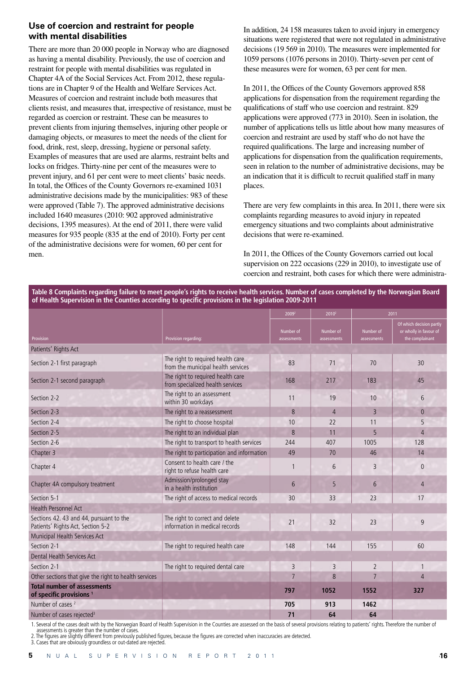## **Use of coercion and restraint for people with mental disabilities**

There are more than 20 000 people in Norway who are diagnosed as having a mental disability. Previously, the use of coercion and restraint for people with mental disabilities was regulated in Chapter 4A of the Social Services Act. From 2012, these regulations are in Chapter 9 of the Health and Welfare Services Act. Measures of coercion and restraint include both measures that clients resist, and measures that, irrespective of resistance, must be regarded as coercion or restraint. These can be measures to prevent clients from injuring themselves, injuring other people or damaging objects, or measures to meet the needs of the client for food, drink, rest, sleep, dressing, hygiene or personal safety. Examples of measures that are used are alarms, restraint belts and locks on fridges. Thirty-nine per cent of the measures were to prevent injury, and 61 per cent were to meet clients' basic needs. In total, the Offices of the County Governors re-examined 1031 administrative decisions made by the municipalities: 983 of these were approved (Table 7). The approved administrative decisions included 1640 measures (2010: 902 approved administrative decisions, 1395 measures). At the end of 2011, there were valid measures for 935 people (835 at the end of 2010). Forty per cent of the administrative decisions were for women, 60 per cent for men.

In addition, 24 158 measures taken to avoid injury in emergency situations were registered that were not regulated in administrative decisions (19 569 in 2010). The measures were implemented for 1059 persons (1076 persons in 2010). Thirty-seven per cent of these measures were for women, 63 per cent for men.

In 2011, the Offices of the County Governors approved 858 applications for dispensation from the requirement regarding the qualifications of staff who use coercion and restraint. 829 applications were approved (773 in 2010). Seen in isolation, the number of applications tells us little about how many measures of coercion and restraint are used by staff who do not have the required qualifications. The large and increasing number of applications for dispensation from the qualification requirements, seen in relation to the number of administrative decisions, may be an indication that it is difficult to recruit qualified staff in many places.

There are very few complaints in this area. In 2011, there were six complaints regarding measures to avoid injury in repeated emergency situations and two complaints about administrative decisions that were re-examined.

In 2011, the Offices of the County Governors carried out local supervision on 222 occasions (229 in 2010), to investigate use of coercion and restraint, both cases for which there were administra-

**Table 8 Complaints regarding failure to meet people's rights to receive health services. Number of cases completed by the Norwegian Board of Health Supervision in the Counties according to specific provisions in the legislation 2009-2011**

|                                                                              |                                                                         | 2009 <sup>2</sup>        | 2010 <sup>2</sup>        |                          | 2011                                                                  |
|------------------------------------------------------------------------------|-------------------------------------------------------------------------|--------------------------|--------------------------|--------------------------|-----------------------------------------------------------------------|
| Provision                                                                    | Provision regarding:                                                    | Number of<br>assessments | Number of<br>assessments | Number of<br>assessments | Of which decision partly<br>or wholly in favour of<br>the complainant |
| Patients' Rights Act                                                         |                                                                         |                          |                          |                          |                                                                       |
| Section 2-1 first paragraph                                                  | The right to required health care<br>from the municipal health services | 83                       | 71                       | 70                       | 30                                                                    |
| Section 2-1 second paragraph                                                 | The right to required health care<br>from specialized health services   | 168                      | 217                      | 183                      | 45                                                                    |
| Section 2-2                                                                  | The right to an assessment<br>within 30 workdays                        | 11                       | 19                       | 10                       | 6                                                                     |
| Section 2-3                                                                  | The right to a reassessment                                             | 8                        | $\overline{4}$           | $\overline{3}$           | $\overline{0}$                                                        |
| Section 2-4                                                                  | The right to choose hospital                                            | 10                       | 22                       | 11                       | 5                                                                     |
| Section 2-5                                                                  | The right to an individual plan                                         | 8                        | 11                       | 5                        | $\overline{4}$                                                        |
| Section 2-6                                                                  | The right to transport to health services                               | 244                      | 407                      | 1005                     | 128                                                                   |
| Chapter 3                                                                    | The right to participation and information                              | 49                       | 70                       | 46                       | 14                                                                    |
| Chapter 4                                                                    | Consent to health care / the<br>right to refuse health care             | $\mathbf{1}$             | 6                        | 3                        | $\overline{0}$                                                        |
| Chapter 4A compulsory treatment                                              | Admission/prolonged stay<br>in a health institution                     | 6                        | 5                        | 6                        | $\overline{4}$                                                        |
| Section 5-1                                                                  | The right of access to medical records                                  | 30                       | 33                       | 23                       | 17                                                                    |
| <b>Health Personnel Act</b>                                                  |                                                                         |                          |                          |                          |                                                                       |
| Sections 42. 43 and 44, pursuant to the<br>Patients' Rights Act, Section 5-2 | The right to correct and delete<br>information in medical records       | 21                       | 32                       | 23                       | $\mathsf{q}$                                                          |
| Municipal Health Services Act                                                |                                                                         |                          |                          |                          |                                                                       |
| Section 2-1                                                                  | The right to required health care                                       | 148                      | 144                      | 155                      | 60                                                                    |
| <b>Dental Health Services Act</b>                                            |                                                                         |                          |                          |                          |                                                                       |
| Section 2-1                                                                  | The right to required dental care                                       | 3                        | 3                        | $\overline{2}$           | $\mathbf{1}$                                                          |
| Other sections that give the right to health services                        |                                                                         | $\overline{7}$           | 8                        | $\overline{7}$           | 4                                                                     |
| <b>Total number of assessments</b><br>of specific provisions <sup>1</sup>    |                                                                         | 797                      | 1052                     | 1552                     | 327                                                                   |
| Number of cases <sup>2</sup>                                                 |                                                                         | 705                      | 913                      | 1462                     |                                                                       |
| Number of cases rejected <sup>3</sup>                                        |                                                                         | 71                       | 64                       | 64                       |                                                                       |

1. Several of the cases dealt with by the Norwegian Board of Health Supervision in the Counties are assessed on the basis of several provisions relating to patients' rights. Therefore the number of

assessments is greater than the number of cases. 2. The figures are slightly different from previously published figures, because the figures are corrected when inaccuracies are detected.

3. Cases that are obviously groundless or out-dated are rejected.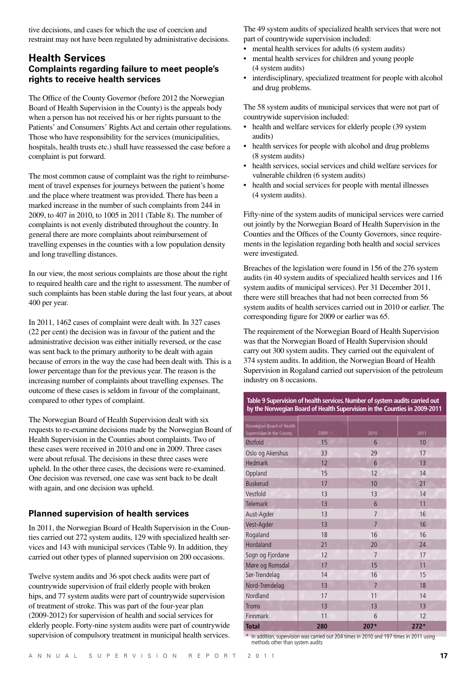tive decisions, and cases for which the use of coercion and restraint may not have been regulated by administrative decisions.

## **Health Services Complaints regarding failure to meet people's rights to receive health services**

The Office of the County Governor (before 2012 the Norwegian Board of Health Supervision in the County) is the appeals body when a person has not received his or her rights pursuant to the Patients' and Consumers' Rights Act and certain other regulations. Those who have responsibility for the services (municipalities, hospitals, health trusts etc.) shall have reassessed the case before a complaint is put forward.

The most common cause of complaint was the right to reimbursement of travel expenses for journeys between the patient's home and the place where treatment was provided. There has been a marked increase in the number of such complaints from 244 in 2009, to 407 in 2010, to 1005 in 2011 (Table 8). The number of complaints is not evenly distributed throughout the country. In general there are more complaints about reimbursement of travelling expenses in the counties with a low population density and long travelling distances.

In our view, the most serious complaints are those about the right to required health care and the right to assessment. The number of such complaints has been stable during the last four years, at about 400 per year.

In 2011, 1462 cases of complaint were dealt with. In 327 cases (22 per cent) the decision was in favour of the patient and the administrative decision was either initially reversed, or the case was sent back to the primary authority to be dealt with again because of errors in the way the case had been dealt with. This is a lower percentage than for the previous year. The reason is the increasing number of complaints about travelling expenses. The outcome of these cases is seldom in favour of the complainant, compared to other types of complaint.

The Norwegian Board of Health Supervision dealt with six requests to re-examine decisions made by the Norwegian Board of Health Supervision in the Counties about complaints. Two of these cases were received in 2010 and one in 2009. Three cases were about refusal. The decisions in these three cases were upheld. In the other three cases, the decisions were re-examined. One decision was reversed, one case was sent back to be dealt with again, and one decision was upheld.

## **Planned supervision of health services**

In 2011, the Norwegian Board of Health Supervision in the Counties carried out 272 system audits, 129 with specialized health services and 143 with municipal services (Table 9). In addition, they carried out other types of planned supervision on 200 occasions.

Twelve system audits and 36 spot check audits were part of countrywide supervision of frail elderly people with broken hips, and 77 system audits were part of countrywide supervision of treatment of stroke. This was part of the four-year plan (2009-2012) for supervision of health and social services for elderly people. Forty-nine system audits were part of countrywide supervision of compulsory treatment in municipal health services. The 49 system audits of specialized health services that were not part of countrywide supervision included:

- mental health services for adults (6 system audits)
- mental health services for children and young people (4 system audits)
- interdisciplinary, specialized treatment for people with alcohol and drug problems.

The 58 system audits of municipal services that were not part of countrywide supervision included:

- health and welfare services for elderly people (39 system audits)
- health services for people with alcohol and drug problems (8 system audits)
- health services, social services and child welfare services for vulnerable children (6 system audits)
- health and social services for people with mental illnesses (4 system audits).

Fifty-nine of the system audits of municipal services were carried out jointly by the Norwegian Board of Health Supervision in the Counties and the Offices of the County Governors, since requirements in the legislation regarding both health and social services were investigated.

Breaches of the legislation were found in 156 of the 276 system audits (in 40 system audits of specialized health services and 116 system audits of municipal services). Per 31 December 2011, there were still breaches that had not been corrected from 56 system audits of health services carried out in 2010 or earlier. The corresponding figure for 2009 or earlier was 65.

The requirement of the Norwegian Board of Health Supervision was that the Norwegian Board of Health Supervision should carry out 300 system audits. They carried out the equivalent of 374 system audits. In addition, the Norwegian Board of Health Supervision in Rogaland carried out supervision of the petroleum industry on 8 occasions.

**Table 9 Supervision of health services. Number of system audits carried out by the Norwegian Board of Health Supervision in the Counties in 2009-2011**

| Norwegian Board of Health |      |                |        |
|---------------------------|------|----------------|--------|
| Supervision in the County | 2009 | 2010           | 2011   |
| Østfold                   | 15   | 6              | 10     |
| Oslo og Akershus          | 33   | 29             | 17     |
| <b>Hedmark</b>            | 12   | 6              | 13     |
| Oppland                   | 15   | 12             | 14     |
| <b>Buskerud</b>           | 17   | 10             | 21     |
| Vestfold                  | 13   | 13             | 14     |
| <b>Telemark</b>           | 13   | 6              | 11     |
| Aust-Agder                | 13   | $\overline{7}$ | 16     |
| Vest-Agder                | 13   | $\overline{7}$ | 16     |
| Rogaland                  | 18   | 16             | 16     |
| Hordaland                 | 21   | 20             | 24     |
| Sogn og Fjordane          | 12   | $\overline{7}$ | 17     |
| Møre og Romsdal           | 17   | 15             | 11     |
| Sør-Trøndelag             | 14   | 16             | 15     |
| Nord-Trøndelag            | 13   | $\overline{7}$ | 18     |
| Nordland                  | 17   | 11             | 14     |
| <b>Troms</b>              | 13   | 13             | 13     |
| Finnmark                  | 11   | 6              | 12     |
| <b>Total</b>              | 280  | $207*$         | $272*$ |

\* In addition, supervision was carried out 204 times in 2010 and 197 times in 2011 using methods other than system audits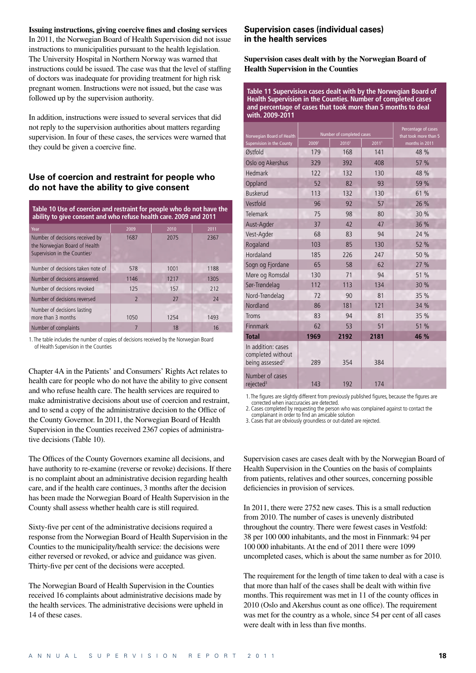#### **Issuing instructions, giving coercive fines and closing services**

In 2011, the Norwegian Board of Health Supervision did not issue instructions to municipalities pursuant to the health legislation. The University Hospital in Northern Norway was warned that instructions could be issued. The case was that the level of staffing of doctors was inadequate for providing treatment for high risk pregnant women. Instructions were not issued, but the case was followed up by the supervision authority.

In addition, instructions were issued to several services that did not reply to the supervision authorities about matters regarding supervision. In four of these cases, the services were warned that they could be given a coercive fine.

#### **Use of coercion and restraint for people who do not have the ability to give consent**

| Table 10 Use of coercion and restraint for people who do not have the<br>ability to give consent and who refuse health care. 2009 and 2011 |                |      |      |  |  |  |  |
|--------------------------------------------------------------------------------------------------------------------------------------------|----------------|------|------|--|--|--|--|
| Year                                                                                                                                       | 2009           | 2010 | 2011 |  |  |  |  |
| Number of decisions received by<br>the Norwegian Board of Health<br>Supervision in the Counties <sup>1</sup>                               | 1687           | 2075 | 2367 |  |  |  |  |
| Number of decisions taken note of                                                                                                          | 578            | 1001 | 1188 |  |  |  |  |
| Number of decisions answered                                                                                                               | 1146           | 1217 | 1305 |  |  |  |  |
| Number of decisions revoked                                                                                                                | 125            | 157  | 212  |  |  |  |  |
| Number of decisions reversed                                                                                                               | $\overline{2}$ | 27   | 24   |  |  |  |  |
| Number of decisions lasting<br>more than 3 months                                                                                          | 1050           | 1254 | 1493 |  |  |  |  |
| Number of complaints                                                                                                                       |                | 18   | 16   |  |  |  |  |

1. The table includes the number of copies of decisions received by the Norwegian Board of Health Supervision in the Counties

Chapter 4A in the Patients' and Consumers' Rights Act relates to health care for people who do not have the ability to give consent and who refuse health care. The health services are required to make administrative decisions about use of coercion and restraint, and to send a copy of the administrative decision to the Office of the County Governor. In 2011, the Norwegian Board of Health Supervision in the Counties received 2367 copies of administrative decisions (Table 10).

The Offices of the County Governors examine all decisions, and have authority to re-examine (reverse or revoke) decisions. If there is no complaint about an administrative decision regarding health care, and if the health care continues, 3 months after the decision has been made the Norwegian Board of Health Supervision in the County shall assess whether health care is still required.

Sixty-five per cent of the administrative decisions required a response from the Norwegian Board of Health Supervision in the Counties to the municipality/health service: the decisions were either reversed or revoked, or advice and guidance was given. Thirty-five per cent of the decisions were accepted.

The Norwegian Board of Health Supervision in the Counties received 16 complaints about administrative decisions made by the health services. The administrative decisions were upheld in 14 of these cases.

#### **Supervision cases (individual cases) in the health services**

**Supervision cases dealt with by the Norwegian Board of Health Supervision in the Counties** 

**Table 11 Supervision cases dealt with by the Norwegian Board of Health Supervision in the Counties. Number of completed cases and percentage of cases that took more than 5 months to deal with. 2009-2011**

|                                                                        |       | Number of completed cases | Percentage of cases |                                         |  |
|------------------------------------------------------------------------|-------|---------------------------|---------------------|-----------------------------------------|--|
| Norwegian Board of Health<br>Supervision in the County                 | 20091 | 20101                     | 20111               | that took more than 5<br>months in 2011 |  |
| Østfold                                                                | 179   | 168                       | 141                 | 48 %                                    |  |
| Oslo og Akershus                                                       | 329   | 392                       | 408                 | 57 %                                    |  |
| Hedmark                                                                | 122   | 132                       | 130                 | 48 %                                    |  |
| Oppland                                                                | 52    | 82                        | 93                  | 59 %                                    |  |
| <b>Buskerud</b>                                                        | 113   | 132                       | 130                 | 61 %                                    |  |
| Vestfold                                                               | 96    | 92                        | 57                  | 26 %                                    |  |
| Telemark                                                               | 75    | 98                        | 80                  | 30 %                                    |  |
| Aust-Agder                                                             | 37    | 42                        | 47                  | 36 %                                    |  |
| Vest-Agder                                                             | 68    | 83                        | 94                  | 24 %                                    |  |
| Rogaland                                                               | 103   | 85                        | 130                 | 52 %                                    |  |
| Hordaland                                                              | 185   | 226                       | 247                 | 50 %                                    |  |
| Sogn og Fjordane                                                       | 65    | 58                        | 62                  | 27 %                                    |  |
| Møre og Romsdal                                                        | 130   | 71                        | 94                  | 51 %                                    |  |
| Sør-Trøndelag                                                          | 112   | 113                       | 134                 | 30 %                                    |  |
| Nord-Trøndelag                                                         | 72    | 90                        | 81                  | 35 %                                    |  |
| Nordland                                                               | 86    | 181                       | 121                 | 34 %                                    |  |
| <b>Troms</b>                                                           | 83    | 94                        | 81                  | 35 %                                    |  |
| Finnmark                                                               | 62    | 53                        | 51                  | 51 %                                    |  |
| <b>Total</b>                                                           | 1969  | 2192                      | 2181                | 46 %                                    |  |
| In addition: cases<br>completed without<br>being assessed <sup>2</sup> | 289   | 354                       | 384                 |                                         |  |
| Number of cases<br>rejected <sup>3</sup>                               | 143   | 192                       | 174                 |                                         |  |

1. The figures are slightly different from previously published figures, because the figures are corrected when inaccuracies are detected.

2. Cases completed by requesting the person who was complained against to contact the cases completed by requesting the person this is

3. Cases that are obviously groundless or out-dated are rejected.

Supervision cases are cases dealt with by the Norwegian Board of Health Supervision in the Counties on the basis of complaints from patients, relatives and other sources, concerning possible deficiencies in provision of services.

In 2011, there were 2752 new cases. This is a small reduction from 2010. The number of cases is unevenly distributed throughout the country. There were fewest cases in Vestfold: 38 per 100 000 inhabitants, and the most in Finnmark: 94 per 100 000 inhabitants. At the end of 2011 there were 1099 uncompleted cases, which is about the same number as for 2010.

The requirement for the length of time taken to deal with a case is that more than half of the cases shall be dealt with within five months. This requirement was met in 11 of the county offices in 2010 (Oslo and Akershus count as one office). The requirement was met for the country as a whole, since 54 per cent of all cases were dealt with in less than five months.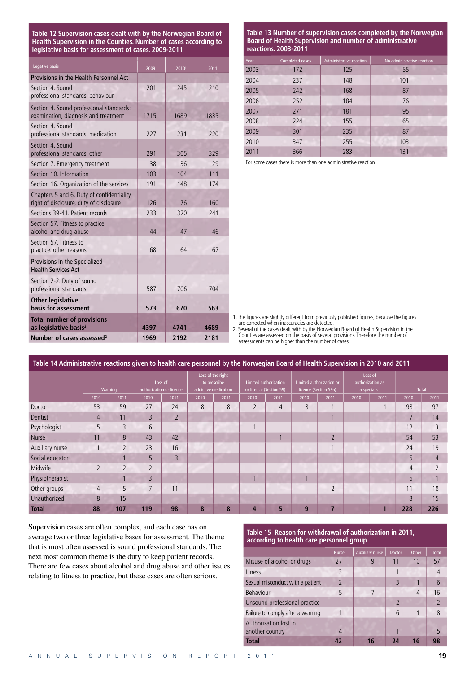**Table 12 Supervision cases dealt with by the Norwegian Board of Health Supervision in the Counties. Number of cases according to legislative basis for assessment of cases. 2009-2011**

| Legative basis                                                                        | 20091 | 20101 | 2011 |
|---------------------------------------------------------------------------------------|-------|-------|------|
| Provisions in the Health Personnel Act                                                |       |       |      |
| Section 4, Sound<br>professional standards: behaviour                                 | 201   | 245   | 210  |
| Section 4. Sound professional standards:<br>examination, diagnosis and treatment      | 1715  | 1689  | 1835 |
| Section 4, Sound<br>professional standards: medication                                | 227   | 231   | 220  |
| Section 4, Sound<br>professional standards: other                                     | 291   | 305   | 329  |
| Section 7. Emergency treatment                                                        | 38    | 36    | 29   |
| Section 10. Information                                                               | 103   | 104   | 111  |
| Section 16. Organization of the services                                              | 191   | 148   | 174  |
| Chapters 5 and 6. Duty of confidentiality,<br>right of disclosure, duty of disclosure | 126   | 176   | 160  |
| Sections 39-41. Patient records                                                       | 233   | 320   | 241  |
| Section 57. Fitness to practice:<br>alcohol and drug abuse                            | 44    | 47    | 46   |
| Section 57. Fitness to<br>practice: other reasons                                     | 68    | 64    | 67   |
| Provisions in the Specialized<br><b>Health Services Act</b>                           |       |       |      |
| Section 2-2. Duty of sound<br>professional standards                                  | 587   | 706   | 704  |
| <b>Other legislative</b><br>basis for assessment                                      | 573   | 670   | 563  |
| <b>Total number of provisions</b><br>as legislative basis <sup>2</sup>                | 4397  | 4741  | 4689 |
| Number of cases assessed <sup>2</sup>                                                 | 1969  | 2192  | 2181 |

**Table 13 Number of supervision cases completed by the Norwegian Board of Health Supervision and number of administrative reactions. 2003-2011**

| Year | Completed cases | Administrative reaction | No administrative reaction |
|------|-----------------|-------------------------|----------------------------|
| 2003 | 172             | 125                     | 55                         |
| 2004 | 237             | 148                     | 101                        |
| 2005 | 242             | 168                     | 87                         |
| 2006 | 252             | 184                     | 76                         |
| 2007 | 271             | 181                     | 95                         |
| 2008 | 224             | 155                     | 65                         |
| 2009 | 301             | 235                     | 87                         |
| 2010 | 347             | 255                     | 103                        |
| 2011 | 366             | 283                     | 131                        |

For some cases there is more than one administrative reaction

1. The figures are slightly different from previously published figures, because the figures are corrected when inaccuracies are detected.

2. Several of the cases dealt with by the Norwegian Board of Health Supervision in the Counties are assessed on the basis of several provisions. Therefore the number of assessments can be higher than the number of cases.

| Table 14 Administrative reactions given to health care personnel by the Norwegian Board of Health Supervision in 2010 and 2011 |                |                |                                     |                |                                                           |      |                                                  |      |                                                   |                |                                             |      |              |      |
|--------------------------------------------------------------------------------------------------------------------------------|----------------|----------------|-------------------------------------|----------------|-----------------------------------------------------------|------|--------------------------------------------------|------|---------------------------------------------------|----------------|---------------------------------------------|------|--------------|------|
|                                                                                                                                |                | Warning        | Loss of<br>authorization or licence |                | Loss of the right<br>to prescribe<br>addictive medication |      | Limited authorization<br>or licence (Section 59) |      | Limited authorization or<br>licence (Section 59a) |                | Loss of<br>authorization as<br>a specialist |      | <b>Total</b> |      |
|                                                                                                                                | 2010           | 2011           | 2010                                | 2011           | 2010                                                      | 2011 | 2010                                             | 2011 | 2010                                              | 2011           | 2010                                        | 2011 | 2010         | 2011 |
| Doctor                                                                                                                         | 53             | 59             | 27                                  | 24             | 8                                                         | 8    | $\overline{2}$                                   | 4    | 8                                                 | 1              |                                             |      | 98           | 97   |
| Dentist                                                                                                                        | 4              | 11             | $\overline{3}$                      | $\overline{2}$ |                                                           |      |                                                  |      |                                                   |                |                                             |      | 7            | 14   |
| Psychologist                                                                                                                   | 5              | 3              | 6                                   |                |                                                           |      |                                                  |      |                                                   |                |                                             |      | 12           |      |
| Nurse                                                                                                                          | 11             | 8              | 43                                  | 42             |                                                           |      |                                                  |      |                                                   | $\overline{2}$ |                                             |      | 54           | 53   |
| Auxiliary nurse                                                                                                                |                | $\overline{2}$ | 23                                  | 16             |                                                           |      |                                                  |      |                                                   |                |                                             |      | 24           | 19   |
| Social educator                                                                                                                |                |                | 5                                   | $\overline{3}$ |                                                           |      |                                                  |      |                                                   |                |                                             |      | 5            | 4    |
| Midwife                                                                                                                        | $\overline{2}$ | $\overline{2}$ | $\overline{2}$                      |                |                                                           |      |                                                  |      |                                                   |                |                                             |      | 4            |      |
| Physiotherapist                                                                                                                |                |                | 3                                   |                |                                                           |      |                                                  |      |                                                   |                |                                             |      | 5            |      |
| Other groups                                                                                                                   | $\overline{4}$ | 5              | 7                                   | 11             |                                                           |      |                                                  |      |                                                   | $\overline{2}$ |                                             |      | 11           | 18   |
| Unauthorized                                                                                                                   | 8              | 15             |                                     |                |                                                           |      |                                                  |      |                                                   |                |                                             |      | 8            | 15   |
| <b>Total</b>                                                                                                                   | 88             | 107            | 119                                 | 98             | 8                                                         | 8    | 4                                                | 5    | 9                                                 | 7              |                                             |      | 228          | 226  |

Supervision cases are often complex, and each case has on average two or three legislative bases for assessment. The theme that is most often assessed is sound professional standards. The next most common theme is the duty to keep patient records. There are few cases about alcohol and drug abuse and other issues relating to fitness to practice, but these cases are often serious.

#### **Table 15 Reason for withdrawal of authorization in 2011, according to health care personnel group**

|                                          | <b>Nurse</b>   | <b>Auxiliary nurse</b> | <b>Doctor</b>  | <b>Other</b> | <b>Total</b>    |
|------------------------------------------|----------------|------------------------|----------------|--------------|-----------------|
| Misuse of alcohol or drugs               | 27             | 9                      | 11             | 10           | 57              |
| <b>Illness</b>                           | 3              |                        |                |              | $\overline{4}$  |
| Sexual misconduct with a patient         | $\overline{2}$ |                        | 3              |              | $6\overline{6}$ |
| Behaviour                                | 5              |                        |                | 4            | 16              |
| Unsound professional practice            |                |                        | $\overline{2}$ |              | $\overline{2}$  |
| Failure to comply after a warning        |                |                        | 6              |              | 8               |
| Authorization lost in<br>another country | 4              |                        |                |              | 5               |
| <b>Total</b>                             |                | 16                     | 24             | 16           | 98              |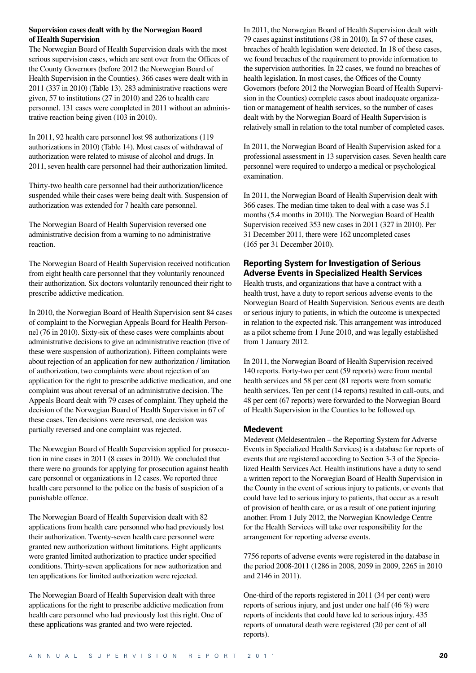#### **Supervision cases dealt with by the Norwegian Board of Health Supervision**

The Norwegian Board of Health Supervision deals with the most serious supervision cases, which are sent over from the Offices of the County Governors (before 2012 the Norwegian Board of Health Supervision in the Counties). 366 cases were dealt with in 2011 (337 in 2010) (Table 13). 283 administrative reactions were given, 57 to institutions (27 in 2010) and 226 to health care personnel. 131 cases were completed in 2011 without an administrative reaction being given (103 in 2010).

In 2011, 92 health care personnel lost 98 authorizations (119 authorizations in 2010) (Table 14). Most cases of withdrawal of authorization were related to misuse of alcohol and drugs. In 2011, seven health care personnel had their authorization limited.

Thirty-two health care personnel had their authorization/licence suspended while their cases were being dealt with. Suspension of authorization was extended for 7 health care personnel.

The Norwegian Board of Health Supervision reversed one administrative decision from a warning to no administrative reaction.

The Norwegian Board of Health Supervision received notification from eight health care personnel that they voluntarily renounced their authorization. Six doctors voluntarily renounced their right to prescribe addictive medication.

In 2010, the Norwegian Board of Health Supervision sent 84 cases of complaint to the Norwegian Appeals Board for Health Personnel (76 in 2010). Sixty-six of these cases were complaints about administrative decisions to give an administrative reaction (five of these were suspension of authorization). Fifteen complaints were about rejection of an application for new authorization / limitation of authorization, two complaints were about rejection of an application for the right to prescribe addictive medication, and one complaint was about reversal of an administrative decision. The Appeals Board dealt with 79 cases of complaint. They upheld the decision of the Norwegian Board of Health Supervision in 67 of these cases. Ten decisions were reversed, one decision was partially reversed and one complaint was rejected.

The Norwegian Board of Health Supervision applied for prosecution in nine cases in 2011 (8 cases in 2010). We concluded that there were no grounds for applying for prosecution against health care personnel or organizations in 12 cases. We reported three health care personnel to the police on the basis of suspicion of a punishable offence.

The Norwegian Board of Health Supervision dealt with 82 applications from health care personnel who had previously lost their authorization. Twenty-seven health care personnel were granted new authorization without limitations. Eight applicants were granted limited authorization to practice under specified conditions. Thirty-seven applications for new authorization and ten applications for limited authorization were rejected.

The Norwegian Board of Health Supervision dealt with three applications for the right to prescribe addictive medication from health care personnel who had previously lost this right. One of these applications was granted and two were rejected.

In 2011, the Norwegian Board of Health Supervision dealt with 79 cases against institutions (38 in 2010). In 57 of these cases, breaches of health legislation were detected. In 18 of these cases, we found breaches of the requirement to provide information to the supervision authorities. In 22 cases, we found no breaches of health legislation. In most cases, the Offices of the County Governors (before 2012 the Norwegian Board of Health Supervision in the Counties) complete cases about inadequate organization or management of health services, so the number of cases dealt with by the Norwegian Board of Health Supervision is relatively small in relation to the total number of completed cases.

In 2011, the Norwegian Board of Health Supervision asked for a professional assessment in 13 supervision cases. Seven health care personnel were required to undergo a medical or psychological examination.

In 2011, the Norwegian Board of Health Supervision dealt with 366 cases. The median time taken to deal with a case was 5.1 months (5.4 months in 2010). The Norwegian Board of Health Supervision received 353 new cases in 2011 (327 in 2010). Per 31 December 2011, there were 162 uncompleted cases (165 per 31 December 2010).

## **Reporting System for Investigation of Serious Adverse Events in Specialized Health Services**

Health trusts, and organizations that have a contract with a health trust, have a duty to report serious adverse events to the Norwegian Board of Health Supervision. Serious events are death or serious injury to patients, in which the outcome is unexpected in relation to the expected risk. This arrangement was introduced as a pilot scheme from 1 June 2010, and was legally established from 1 January 2012.

In 2011, the Norwegian Board of Health Supervision received 140 reports. Forty-two per cent (59 reports) were from mental health services and 58 per cent (81 reports were from somatic health services. Ten per cent (14 reports) resulted in call-outs, and 48 per cent (67 reports) were forwarded to the Norwegian Board of Health Supervision in the Counties to be followed up.

#### **Medevent**

Medevent (Meldesentralen – the Reporting System for Adverse Events in Specialized Health Services) is a database for reports of events that are registered according to Section 3-3 of the Specialized Health Services Act. Health institutions have a duty to send a written report to the Norwegian Board of Health Supervision in the County in the event of serious injury to patients, or events that could have led to serious injury to patients, that occur as a result of provision of health care, or as a result of one patient injuring another. From 1 July 2012, the Norwegian Knowledge Centre for the Health Services will take over responsibility for the arrangement for reporting adverse events.

7756 reports of adverse events were registered in the database in the period 2008-2011 (1286 in 2008, 2059 in 2009, 2265 in 2010 and 2146 in 2011).

One-third of the reports registered in 2011 (34 per cent) were reports of serious injury, and just under one half (46 %) were reports of incidents that could have led to serious injury. 435 reports of unnatural death were registered (20 per cent of all reports).